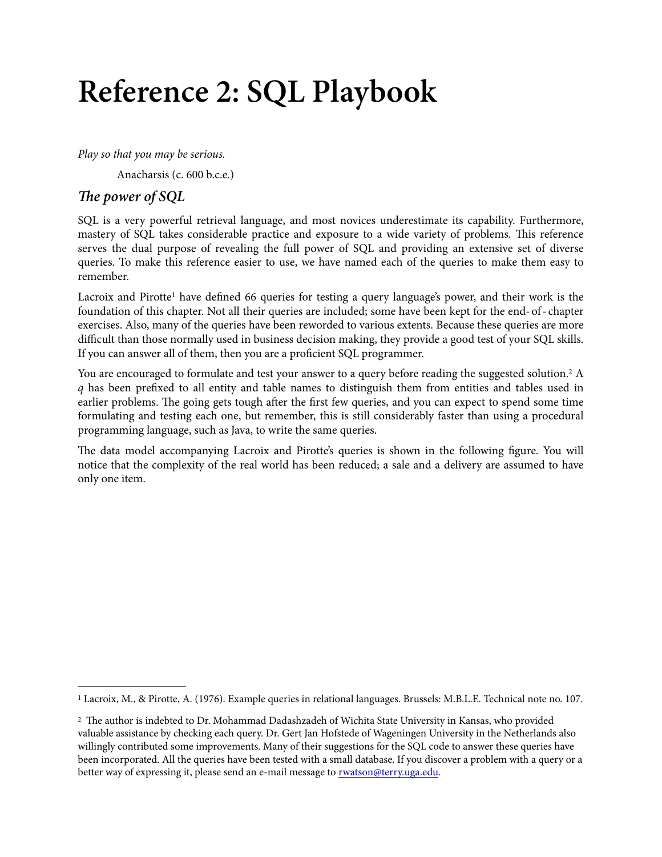# **Reference 2: SQL Playbook**

*Play so that you may be serious.*

Anacharsis (c. 600 b.c.e.)

#### **The power of SQL**

SQL is a very powerful retrieval language, and most novices underestimate its capability. Furthermore, mastery of SQL takes considerable practice and exposure to a wide variety of problems. Tis reference serves the dual purpose of revealing the full power of SQL and providing an extensive set of diverse queries. To make this reference easier to use, we have named each of the queries to make them easy to remember.

<span id="page-0-2"></span>Lacroix and Pirotte<sup>[1](#page-0-0)</sup> have defined 66 queries for testing a query language's power, and their work is the foundation of this chapter. Not all their queries are included; some have been kept for the end-of - chapter exercises. Also, many of the queries have been reworded to various extents. Because these queries are more difficult than those normally used in business decision making, they provide a good test of your SQL skills. If you can answer all of them, then you are a profcient SQL programmer.

<span id="page-0-3"></span>You are encouraged to formulate and test your answer to a query before reading the suggested solution.<sup>[2](#page-0-1)</sup> A *q* has been prefxed to all entity and table names to distinguish them from entities and tables used in earlier problems. The going gets tough after the first few queries, and you can expect to spend some time formulating and testing each one, but remember, this is still considerably faster than using a procedural programming language, such as Java, to write the same queries.

The data model accompanying Lacroix and Pirotte's queries is shown in the following figure. You will notice that the complexity of the real world has been reduced; a sale and a delivery are assumed to have only one item.

<span id="page-0-0"></span>Lacroix, M., & Pirotte, A. (1976). Example queries in relational languages. Brussels: M.B.L.E. Technical note no. 107. [1](#page-0-2)

<span id="page-0-1"></span><sup>&</sup>lt;sup>[2](#page-0-3)</sup> The author is indebted to Dr. Mohammad Dadashzadeh of Wichita State University in Kansas, who provided valuable assistance by checking each query. Dr. Gert Jan Hofstede of Wageningen University in the Netherlands also willingly contributed some improvements. Many of their suggestions for the SQL code to answer these queries have been incorporated. All the queries have been tested with a small database. If you discover a problem with a query or a better way of expressing it, please send an e-mail message to **rwatson@terry.uga.edu**.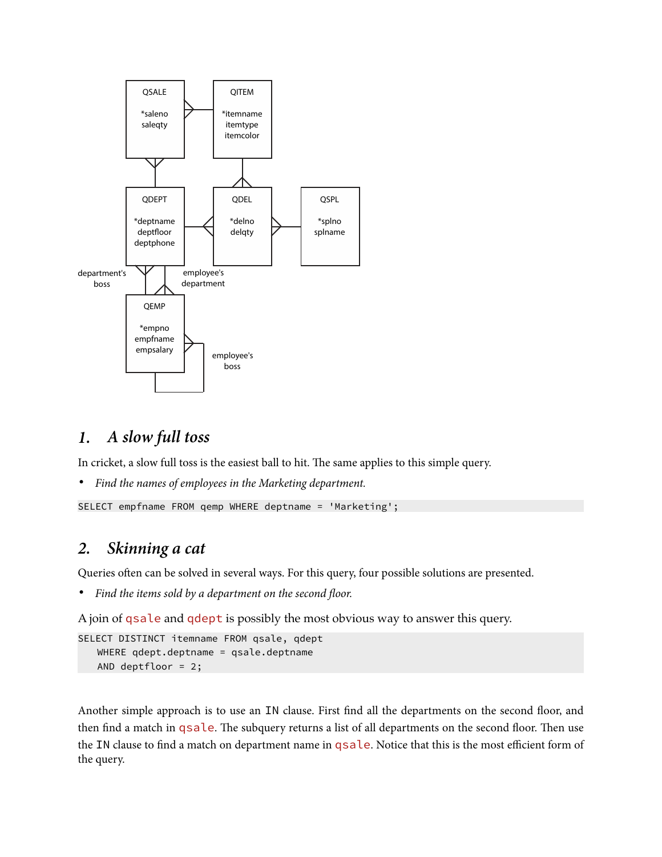

# *1. A slow full toss*

In cricket, a slow full toss is the easiest ball to hit. The same applies to this simple query.

**•** *Find the names of employees in the Marketing department.*

SELECT empfname FROM qemp WHERE deptname = 'Marketing';

## *2. Skinning a cat*

Queries often can be solved in several ways. For this query, four possible solutions are presented.

**•** *Find the items sold by a department on the second* f*oor.* 

A join of qsale and qdept is possibly the most obvious way to answer this query.

```
SELECT DISTINCT itemname FROM qsale, qdept 
    WHERE qdept.deptname = qsale.deptname 
    AND deptfloor = 2;
```
Another simple approach is to use an IN clause. First fnd all the departments on the second foor, and then find a match in qsale. The subquery returns a list of all departments on the second floor. Then use the IN clause to find a match on department name in qsale. Notice that this is the most efficient form of the query.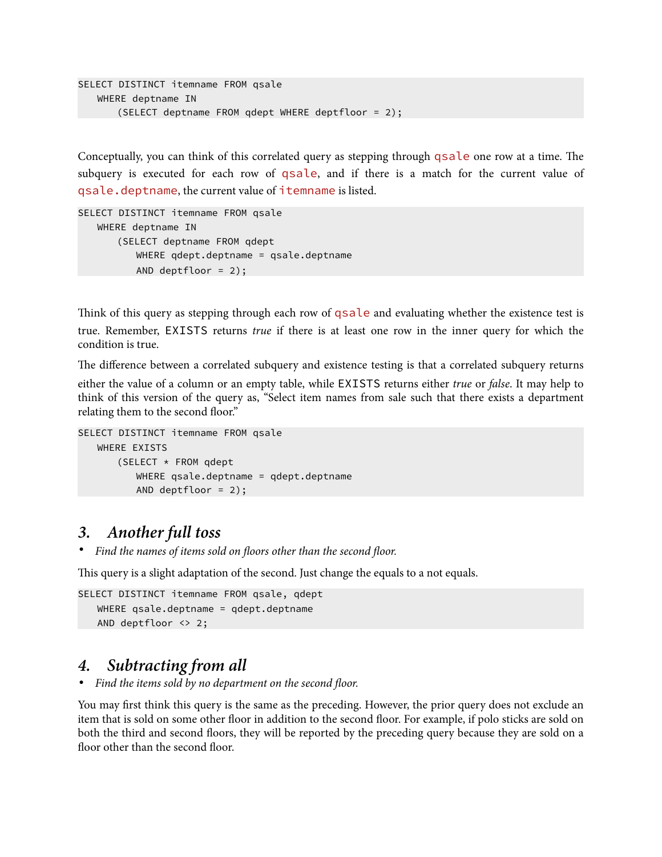```
SELECT DISTINCT itemname FROM qsale 
    WHERE deptname IN 
        (SELECT deptname FROM qdept WHERE deptfloor = 2);
```
Conceptually, you can think of this correlated query as stepping through qsale one row at a time. The subquery is executed for each row of qsale, and if there is a match for the current value of qsale.deptname, the current value of itemname is listed.

```
SELECT DISTINCT itemname FROM qsale 
    WHERE deptname IN 
        (SELECT deptname FROM qdept 
           WHERE qdept.deptname = qsale.deptname 
           AND deptfloor = 2);
```
Think of this query as stepping through each row of qsale and evaluating whether the existence test is true. Remember, EXISTS returns *true* if there is at least one row in the inner query for which the condition is true.

The difference between a correlated subquery and existence testing is that a correlated subquery returns either the value of a column or an empty table, while EXISTS returns either *true* or *false*. It may help to think of this version of the query as, "Select item names from sale such that there exists a department relating them to the second floor."

```
SELECT DISTINCT itemname FROM qsale 
    WHERE EXISTS 
        (SELECT * FROM qdept 
           WHERE qsale.deptname = qdept.deptname 
           AND deptfloor = 2);
```
# *3. Another full toss*

**•** *Find the names of items sold on* f*oors other than the second* f*oor.* 

This query is a slight adaptation of the second. Just change the equals to a not equals.

```
SELECT DISTINCT itemname FROM qsale, qdept 
    WHERE qsale.deptname = qdept.deptname 
    AND deptfloor <> 2;
```
# *4. Subtracting from all*

**•** *Find the items sold by no department on the second* f*oor.* 

You may frst think this query is the same as the preceding. However, the prior query does not exclude an item that is sold on some other foor in addition to the second foor. For example, if polo sticks are sold on both the third and second foors, they will be reported by the preceding query because they are sold on a floor other than the second floor.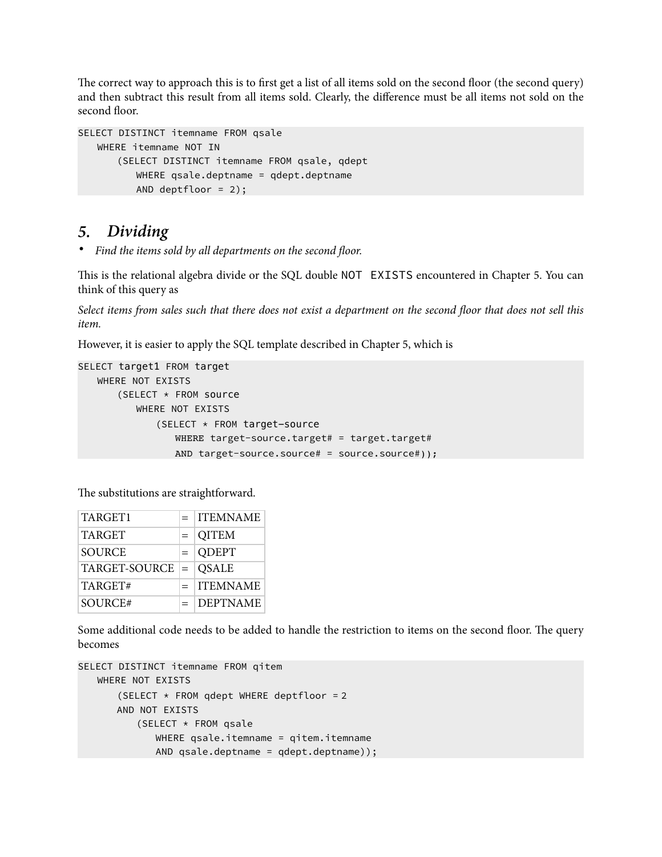The correct way to approach this is to first get a list of all items sold on the second floor (the second query) and then subtract this result from all items sold. Clearly, the difference must be all items not sold on the second floor.

```
SELECT DISTINCT itemname FROM qsale 
    WHERE itemname NOT IN 
        (SELECT DISTINCT itemname FROM qsale, qdept 
           WHERE qsale.deptname = qdept.deptname 
           AND deptfloor = 2);
```
# *5. Dividing*

**•** *Find the items sold by all departments on the second* f*oor.* 

This is the relational algebra divide or the SQL double NOT EXISTS encountered in Chapter 5. You can think of this query as

*Select items from sales such that there does not exist a department on the second* f*oor that does not sell this item.*

However, it is easier to apply the SQL template described in Chapter 5, which is

```
SELECT target1 FROM target 
   WHERE NOT EXISTS 
        (SELECT * FROM source 
           WHERE NOT EXISTS 
               (SELECT * FROM target-source 
                 WHERE target-source.target# = target.target#
                 AND target-source.source# = source.source#));
```
The substitutions are straightforward.

| TARGET1       |     | $=$ ITEMNAME    |
|---------------|-----|-----------------|
| <b>TARGET</b> | $=$ | <b>QITEM</b>    |
| <b>SOURCE</b> | $=$ | <b>QDEPT</b>    |
| TARGET-SOURCE |     | $=$ QSALE       |
| TARGET#       |     | $=$ ITEMNAME    |
| SOURCE#       | $=$ | <b>DEPTNAME</b> |

Some additional code needs to be added to handle the restriction to items on the second floor. The query becomes

```
SELECT DISTINCT itemname FROM qitem 
    WHERE NOT EXISTS 
       (SELECT \star FROM qdept WHERE deptfloor = 2
        AND NOT EXISTS 
            (SELECT * FROM qsale 
               WHERE qsale.itemname = qitem.itemname 
               AND qsale.deptname = qdept.deptname));
```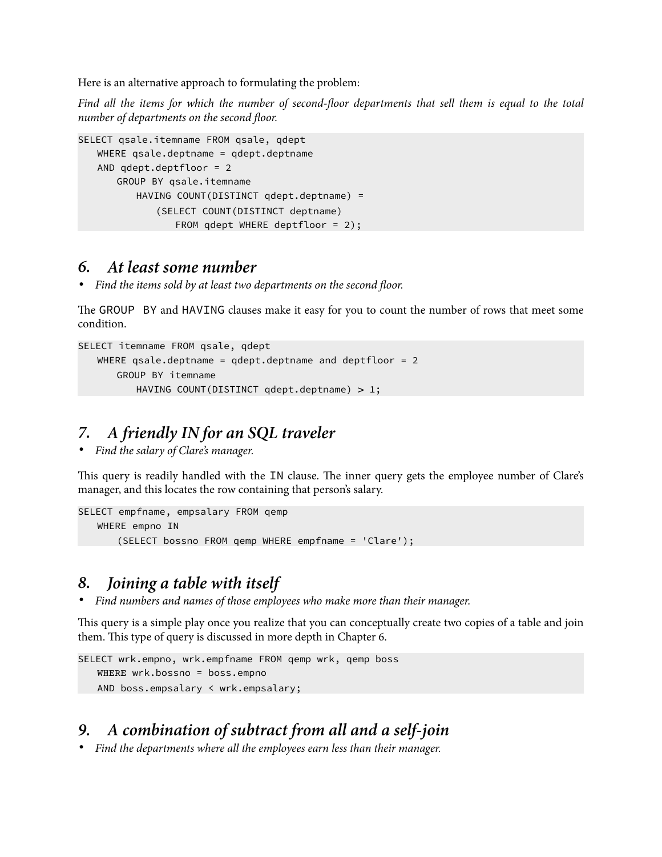Here is an alternative approach to formulating the problem:

*Find all the items for which the number of second-*f*oor departments that sell them is equal to the total number of departments on the second* f*oor.*

```
SELECT qsale.itemname FROM qsale, qdept 
    WHERE qsale.deptname = qdept.deptname 
    AND qdept.deptfloor = 2 
        GROUP BY qsale.itemname 
           HAVING COUNT(DISTINCT qdept.deptname) = 
               (SELECT COUNT(DISTINCT deptname) 
                  FROM qdept WHERE deptfloor = 2);
```
#### *6. At least some number*

**•** *Find the items sold by at least two departments on the second* f*oor.* 

The GROUP BY and HAVING clauses make it easy for you to count the number of rows that meet some condition.

```
SELECT itemname FROM qsale, qdept 
    WHERE qsale.deptname = qdept.deptname and deptfloor = 2 
        GROUP BY itemname 
           HAVING COUNT(DISTINCT qdept.deptname) > 1;
```
# *7. A friendly IN for an SQL traveler*

**•** *Find the salary of Clare's manager.* 

This query is readily handled with the IN clause. The inner query gets the employee number of Clare's manager, and this locates the row containing that person's salary.

```
SELECT empfname, empsalary FROM qemp 
    WHERE empno IN 
        (SELECT bossno FROM qemp WHERE empfname = 'Clare');
```
# *8. Joining a table with itself*

**•** *Find numbers and names of those employees who make more than their manager.* 

This query is a simple play once you realize that you can conceptually create two copies of a table and join them. This type of query is discussed in more depth in Chapter 6.

```
SELECT wrk.empno, wrk.empfname FROM qemp wrk, qemp boss 
   WHERE wrk.bossno = boss.empno 
    AND boss.empsalary < wrk.empsalary;
```
# *9. A combination of subtract from all and a self-join*

**•** *Find the departments where all the employees earn less than their manager.*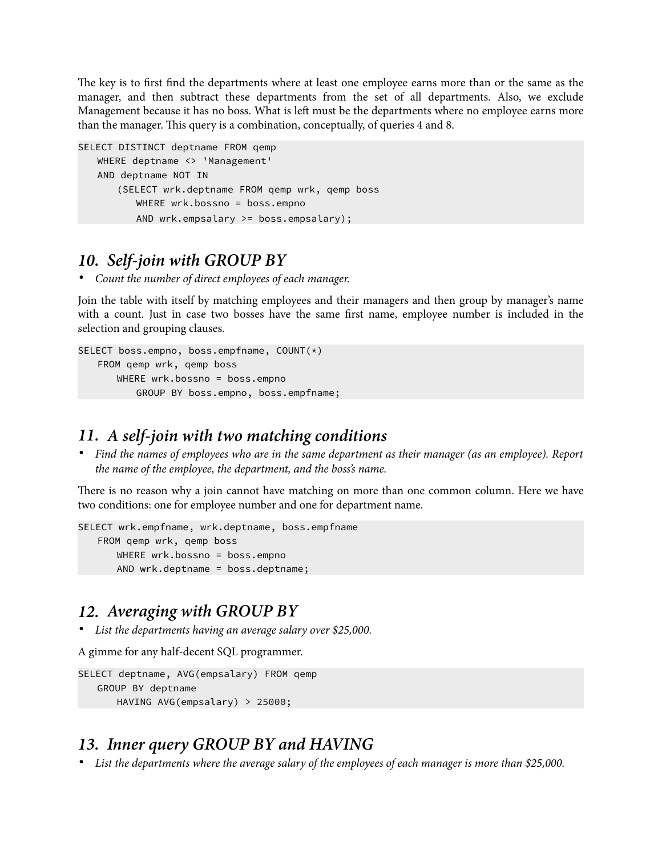The key is to first find the departments where at least one employee earns more than or the same as the manager, and then subtract these departments from the set of all departments. Also, we exclude Management because it has no boss. What is left must be the departments where no employee earns more than the manager. This query is a combination, conceptually, of queries 4 and 8.

```
SELECT DISTINCT deptname FROM qemp 
    WHERE deptname <> 'Management' 
    AND deptname NOT IN 
        (SELECT wrk.deptname FROM qemp wrk, qemp boss 
           WHERE wrk.bossno = boss.empno 
           AND wrk.empsalary >= boss.empsalary);
```
# *10. Self-join with GROUP BY*

**•** *Count the number of direct employees of each manager.* 

Join the table with itself by matching employees and their managers and then group by manager's name with a count. Just in case two bosses have the same frst name, employee number is included in the selection and grouping clauses.

```
SELECT boss.empno, boss.empfname, COUNT(*) 
    FROM qemp wrk, qemp boss 
        WHERE wrk.bossno = boss.empno 
           GROUP BY boss.empno, boss.empfname;
```
# *11. A self-join with two matching conditions*

**•** *Find the names of employees who are in the same department as their manager (as an employee). Report the name of the employee, the department, and the boss's name.* 

There is no reason why a join cannot have matching on more than one common column. Here we have two conditions: one for employee number and one for department name.

```
SELECT wrk.empfname, wrk.deptname, boss.empfname 
    FROM qemp wrk, qemp boss 
       WHERE wrk.bossno = boss.empno 
        AND wrk.deptname = boss.deptname;
```
# *12. Averaging with GROUP BY*

**•** *List the departments having an average salary over \$25,000.* 

A gimme for any half-decent SQL programmer.

```
SELECT deptname, AVG(empsalary) FROM qemp 
    GROUP BY deptname 
        HAVING AVG(empsalary) > 25000;
```
# *13. Inner query GROUP BY and HAVING*

**•** *List the departments where the average salary of the employees of each manager is more than \$25,000.*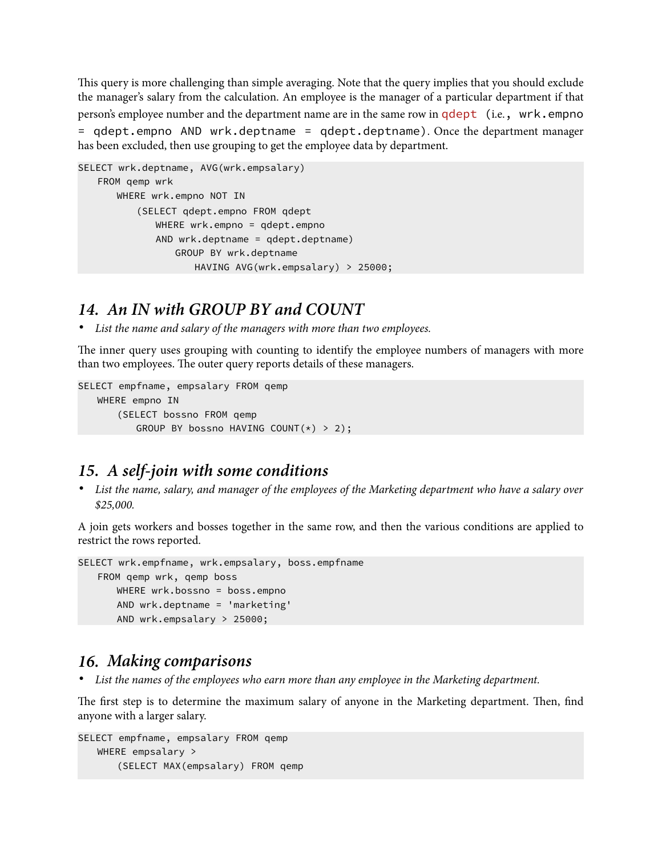This query is more challenging than simple averaging. Note that the query implies that you should exclude the manager's salary from the calculation. An employee is the manager of a particular department if that person's employee number and the department name are in the same row in qdept (i.e., wrk.empno = qdept.empno AND wrk.deptname = qdept.deptname). Once the department manager has been excluded, then use grouping to get the employee data by department.

```
SELECT wrk.deptname, AVG(wrk.empsalary) 
    FROM qemp wrk 
        WHERE wrk.empno NOT IN 
           (SELECT qdept.empno FROM qdept 
               WHERE wrk.empno = qdept.empno 
               AND wrk.deptname = qdept.deptname) 
                  GROUP BY wrk.deptname 
                      HAVING AVG(wrk.empsalary) > 25000;
```
# *14. An IN with GROUP BY and COUNT*

**•** *List the name and salary of the managers with more than two employees.* 

The inner query uses grouping with counting to identify the employee numbers of managers with more than two employees. The outer query reports details of these managers.

```
SELECT empfname, empsalary FROM qemp 
    WHERE empno IN 
        (SELECT bossno FROM qemp 
           GROUP BY bossno HAVING COUNT(*) > 2);
```
# *15. A self-join with some conditions*

**•** *List the name, salary, and manager of the employees of the Marketing department who have a salary over \$25,000.* 

A join gets workers and bosses together in the same row, and then the various conditions are applied to restrict the rows reported.

```
SELECT wrk.empfname, wrk.empsalary, boss.empfname 
    FROM qemp wrk, qemp boss 
        WHERE wrk.bossno = boss.empno 
        AND wrk.deptname = 'marketing' 
        AND wrk.empsalary > 25000;
```
# *16. Making comparisons*

**•** *List the names of the employees who earn more than any employee in the Marketing department.* 

The first step is to determine the maximum salary of anyone in the Marketing department. Then, find anyone with a larger salary.

```
SELECT empfname, empsalary FROM qemp 
    WHERE empsalary > 
        (SELECT MAX(empsalary) FROM qemp
```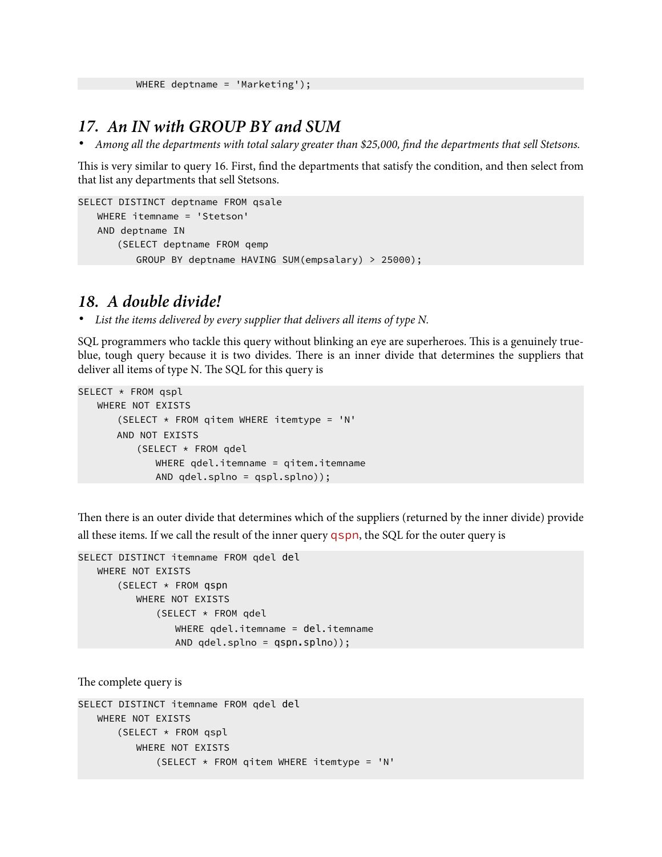```
 WHERE deptname = 'Marketing');
```
# *17. An IN with GROUP BY and SUM*

**•** *Among all the departments with total salary greater than \$25,000,* f*nd the departments that sell Stetsons.* 

This is very similar to query 16. First, find the departments that satisfy the condition, and then select from that list any departments that sell Stetsons.

```
SELECT DISTINCT deptname FROM qsale 
    WHERE itemname = 'Stetson' 
    AND deptname IN 
        (SELECT deptname FROM qemp 
           GROUP BY deptname HAVING SUM(empsalary) > 25000);
```
# *18. A double divide!*

**•** *List the items delivered by every supplier that delivers all items of type N.* 

SQL programmers who tackle this query without blinking an eye are superheroes. This is a genuinely trueblue, tough query because it is two divides. There is an inner divide that determines the suppliers that deliver all items of type N. The SQL for this query is

```
SELECT * FROM qspl 
    WHERE NOT EXISTS 
        (SELECT * FROM qitem WHERE itemtype = 'N' 
        AND NOT EXISTS 
            (SELECT * FROM qdel 
               WHERE qdel.itemname = qitem.itemname 
               AND qdel.splno = qspl.splno));
```
Then there is an outer divide that determines which of the suppliers (returned by the inner divide) provide all these items. If we call the result of the inner query qspn, the SQL for the outer query is

```
SELECT DISTINCT itemname FROM qdel del 
   WHERE NOT EXISTS 
        (SELECT * FROM qspn 
           WHERE NOT EXISTS 
               (SELECT * FROM qdel 
                   WHERE qdel.itemname = del.itemname 
                   AND qdel.splno = qspn.splno));
```
The complete query is

```
SELECT DISTINCT itemname FROM qdel del 
   WHERE NOT EXISTS 
        (SELECT * FROM qspl 
           WHERE NOT EXISTS 
               (SELECT * FROM qitem WHERE itemtype = 'N'
```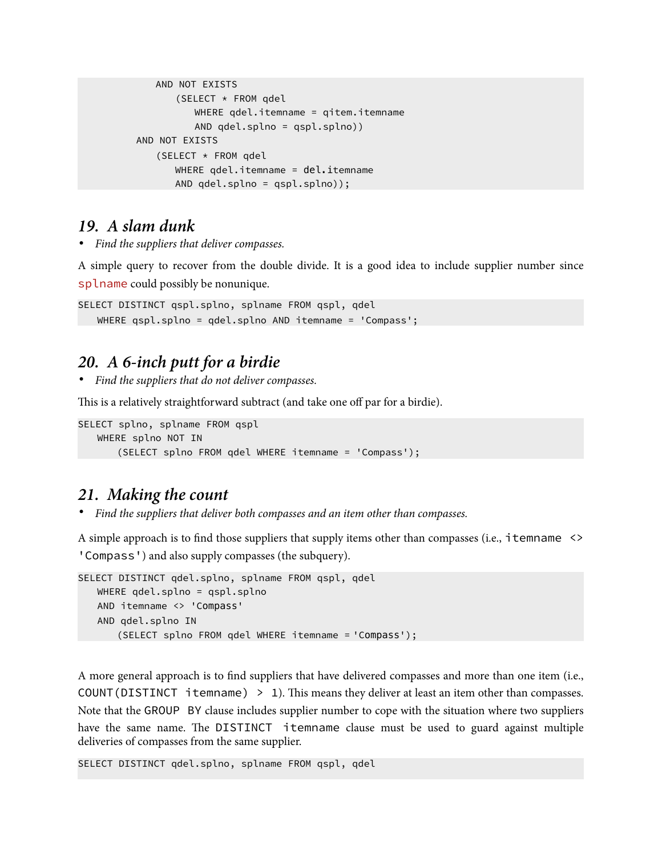```
 AND NOT EXISTS 
        (SELECT * FROM qdel 
          WHERE qdel.itemname = qitem.itemname
           AND qdel.splno = qspl.splno)) 
 AND NOT EXISTS 
    (SELECT * FROM qdel 
        WHERE qdel.itemname = del.itemname 
        AND qdel.splno = qspl.splno));
```
## *19. A slam dunk*

**•** *Find the suppliers that deliver compasses.* 

A simple query to recover from the double divide. It is a good idea to include supplier number since splname could possibly be nonunique.

```
SELECT DISTINCT qspl.splno, splname FROM qspl, qdel 
    WHERE qspl.splno = qdel.splno AND itemname = 'Compass';
```
# *20. A 6-inch putt for a birdie*

**•** *Find the suppliers that do not deliver compasses.* 

This is a relatively straightforward subtract (and take one off par for a birdie).

```
SELECT splno, splname FROM qspl 
    WHERE splno NOT IN 
        (SELECT splno FROM qdel WHERE itemname = 'Compass');
```
# *21. Making the count*

**•** *Find the suppliers that deliver both compasses and an item other than compasses.* 

A simple approach is to fnd those suppliers that supply items other than compasses (i.e., itemname <> 'Compass') and also supply compasses (the subquery).

```
SELECT DISTINCT qdel.splno, splname FROM qspl, qdel 
    WHERE qdel.splno = qspl.splno 
    AND itemname <> 'Compass' 
    AND qdel.splno IN 
        (SELECT splno FROM qdel WHERE itemname = 'Compass');
```
A more general approach is to fnd suppliers that have delivered compasses and more than one item (i.e., COUNT (DISTINCT itemname) > 1). This means they deliver at least an item other than compasses. Note that the GROUP BY clause includes supplier number to cope with the situation where two suppliers have the same name. The DISTINCT itemname clause must be used to guard against multiple deliveries of compasses from the same supplier.

SELECT DISTINCT qdel.splno, splname FROM qspl, qdel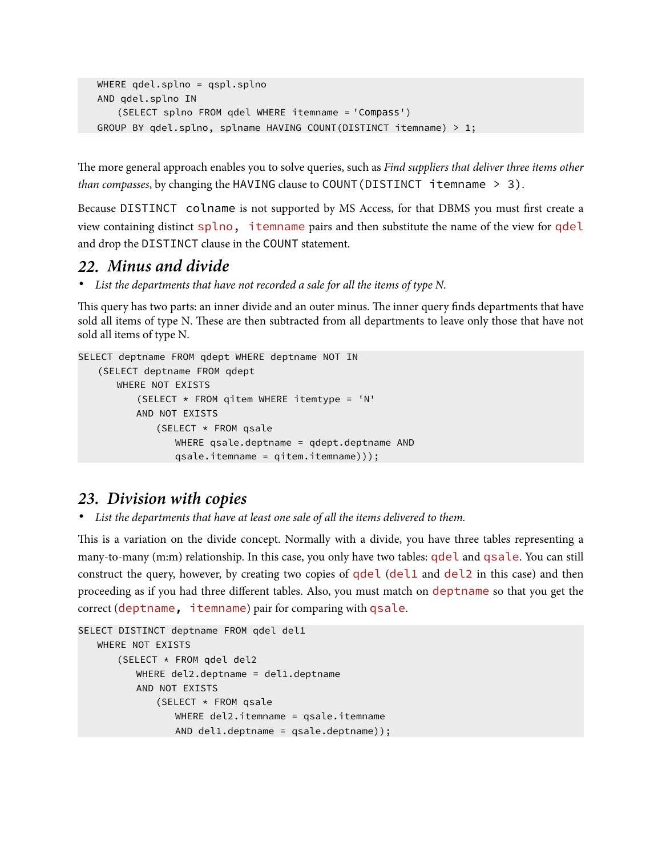```
 WHERE qdel.splno = qspl.splno 
 AND qdel.splno IN 
    (SELECT splno FROM qdel WHERE itemname = 'Compass') 
 GROUP BY qdel.splno, splname HAVING COUNT(DISTINCT itemname) > 1;
```
The more general approach enables you to solve queries, such as *Find suppliers that deliver three items other than compasses*, by changing the HAVING clause to COUNT (DISTINCT itemname > 3).

Because DISTINCT colname is not supported by MS Access, for that DBMS you must frst create a view containing distinct splno, itemname pairs and then substitute the name of the view for qdel and drop the DISTINCT clause in the COUNT statement.

## *22. Minus and divide*

**•** *List the departments that have not recorded a sale for all the items of type N.* 

This query has two parts: an inner divide and an outer minus. The inner query finds departments that have sold all items of type N. These are then subtracted from all departments to leave only those that have not sold all items of type N.

```
SELECT deptname FROM qdept WHERE deptname NOT IN 
    (SELECT deptname FROM qdept 
        WHERE NOT EXISTS 
           (SELECT * FROM qitem WHERE itemtype = 'N' 
           AND NOT EXISTS 
               (SELECT * FROM qsale 
                  WHERE qsale.deptname = qdept.deptname AND 
                  qsale.itemname = qitem.itemname)));
```
# *23. Division with copies*

**•** *List the departments that have at least one sale of all the items delivered to them.* 

This is a variation on the divide concept. Normally with a divide, you have three tables representing a many-to-many (m:m) relationship. In this case, you only have two tables: qdel and qsale. You can still construct the query, however, by creating two copies of qdel (del1 and del2 in this case) and then proceeding as if you had three different tables. Also, you must match on deptname so that you get the correct (deptname, itemname) pair for comparing with qsale.

```
SELECT DISTINCT deptname FROM qdel del1 
    WHERE NOT EXISTS 
        (SELECT * FROM qdel del2 
           WHERE del2.deptname = del1.deptname 
           AND NOT EXISTS 
               (SELECT * FROM qsale 
                 WHERE del2.itemname = qsale.itemname
                  AND del1.deptname = qsale.deptname));
```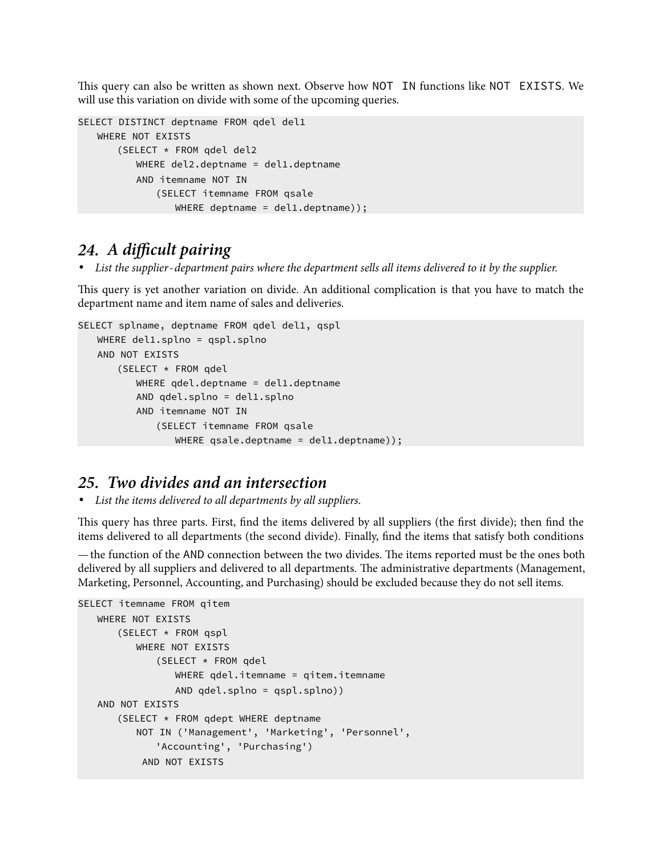This query can also be written as shown next. Observe how NOT IN functions like NOT EXISTS. We will use this variation on divide with some of the upcoming queries.

```
SELECT DISTINCT deptname FROM qdel del1 
    WHERE NOT EXISTS 
        (SELECT * FROM qdel del2 
           WHERE del2.deptname = del1.deptname 
           AND itemname NOT IN 
               (SELECT itemname FROM qsale 
                  WHERE deptname = del1.deptname));
```
## *24. A di***ffi***cult pairing*

**•** *List the supplier-department pairs where the department sells all items delivered to it by the supplier.* 

Tis query is yet another variation on divide. An additional complication is that you have to match the department name and item name of sales and deliveries.

```
SELECT splname, deptname FROM qdel del1, qspl 
    WHERE del1.splno = qspl.splno 
    AND NOT EXISTS 
        (SELECT * FROM qdel 
           WHERE qdel.deptname = del1.deptname 
           AND qdel.splno = del1.splno 
           AND itemname NOT IN 
               (SELECT itemname FROM qsale 
                  WHERE qsale.deptname = del1.deptname));
```
## *25. Two divides and an intersection*

**•** *List the items delivered to all departments by all suppliers.* 

Tis query has three parts. First, fnd the items delivered by all suppliers (the frst divide); then fnd the items delivered to all departments (the second divide). Finally, fnd the items that satisfy both conditions

—the function of the AND connection between the two divides. The items reported must be the ones both delivered by all suppliers and delivered to all departments. The administrative departments (Management, Marketing, Personnel, Accounting, and Purchasing) should be excluded because they do not sell items.

```
SELECT itemname FROM qitem 
    WHERE NOT EXISTS 
        (SELECT * FROM qspl 
           WHERE NOT EXISTS 
               (SELECT * FROM qdel 
                  WHERE qdel.itemname = qitem.itemname
                   AND qdel.splno = qspl.splno)) 
    AND NOT EXISTS 
        (SELECT * FROM qdept WHERE deptname 
            NOT IN ('Management', 'Marketing', 'Personnel', 
               'Accounting', 'Purchasing') 
            AND NOT EXISTS
```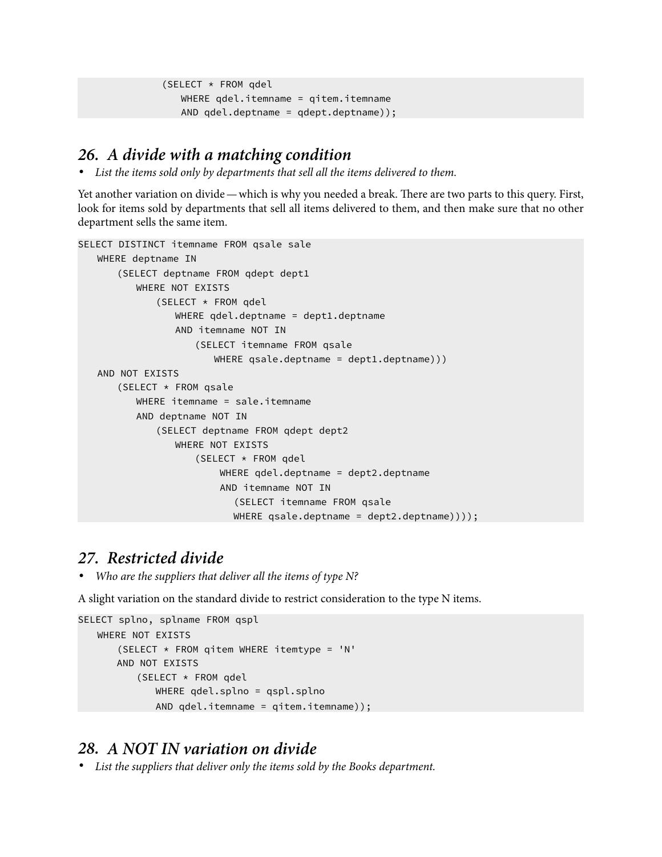```
 (SELECT * FROM qdel 
   WHERE qdel.itemname = qitem.itemname
    AND qdel.deptname = qdept.deptname));
```
## *26. A divide with a matching condition*

**•** *List the items sold only by departments that sell all the items delivered to them.* 

Yet another variation on divide — which is why you needed a break. There are two parts to this query. First, look for items sold by departments that sell all items delivered to them, and then make sure that no other department sells the same item.

```
SELECT DISTINCT itemname FROM qsale sale 
    WHERE deptname IN 
        (SELECT deptname FROM qdept dept1 
           WHERE NOT EXISTS 
               (SELECT * FROM qdel 
                   WHERE qdel.deptname = dept1.deptname 
                   AND itemname NOT IN 
                       (SELECT itemname FROM qsale 
                          WHERE qsale.deptname = dept1.deptname))) 
    AND NOT EXISTS 
        (SELECT * FROM qsale 
          WHERE itemname = sale.itemname
            AND deptname NOT IN 
               (SELECT deptname FROM qdept dept2 
                   WHERE NOT EXISTS 
                       (SELECT * FROM qdel 
                           WHERE qdel.deptname = dept2.deptname 
                           AND itemname NOT IN 
                              (SELECT itemname FROM qsale 
                              WHERE qsale.deptname = dept2.deptname))));
```
# *27. Restricted divide*

**•** *Who are the suppliers that deliver all the items of type N?* 

A slight variation on the standard divide to restrict consideration to the type N items.

```
SELECT splno, splname FROM qspl 
    WHERE NOT EXISTS 
        (SELECT * FROM qitem WHERE itemtype = 'N' 
        AND NOT EXISTS 
            (SELECT * FROM qdel 
               WHERE qdel.splno = qspl.splno 
               AND qdel.itemname = qitem.itemname));
```
## *28. A NOT IN variation on divide*

**•** *List the suppliers that deliver only the items sold by the Books department.*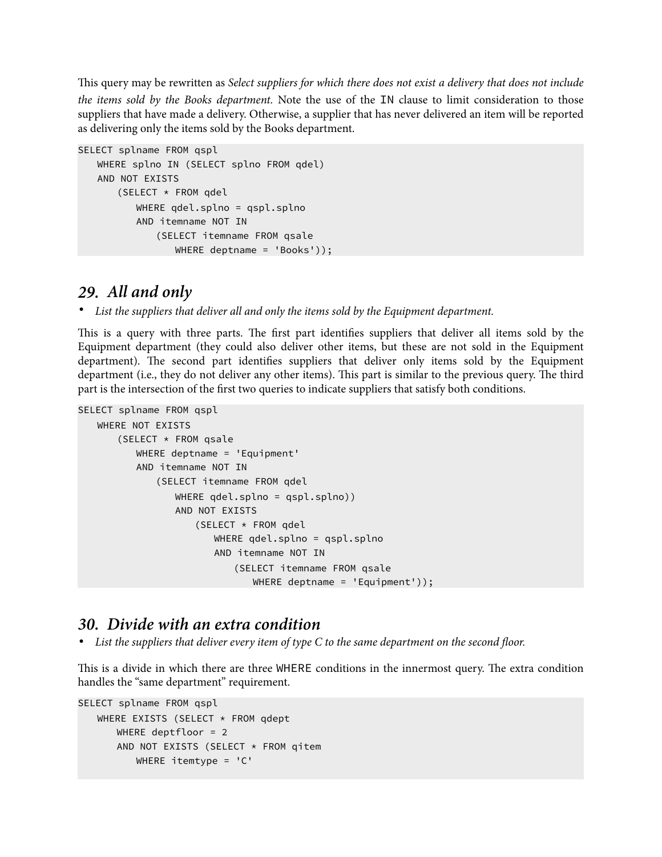This query may be rewritten as Select suppliers for which there does not exist a delivery that does not include *the items sold by the Books department.* Note the use of the IN clause to limit consideration to those suppliers that have made a delivery. Otherwise, a supplier that has never delivered an item will be reported as delivering only the items sold by the Books department.

```
SELECT splname FROM qspl 
    WHERE splno IN (SELECT splno FROM qdel) 
    AND NOT EXISTS 
        (SELECT * FROM qdel 
           WHERE qdel.splno = qspl.splno 
           AND itemname NOT IN 
               (SELECT itemname FROM qsale 
                   WHERE deptname = 'Books'));
```
# *29. All and only*

**•** *List the suppliers that deliver all and only the items sold by the Equipment department.* 

This is a query with three parts. The first part identifies suppliers that deliver all items sold by the Equipment department (they could also deliver other items, but these are not sold in the Equipment department). The second part identifies suppliers that deliver only items sold by the Equipment department (i.e., they do not deliver any other items). This part is similar to the previous query. The third part is the intersection of the frst two queries to indicate suppliers that satisfy both conditions.

```
SELECT splname FROM qspl 
    WHERE NOT EXISTS 
        (SELECT * FROM qsale 
           WHERE deptname = 'Equipment' 
           AND itemname NOT IN 
               (SELECT itemname FROM qdel 
                   WHERE qdel.splno = qspl.splno)) 
                   AND NOT EXISTS 
                       (SELECT * FROM qdel 
                          WHERE qdel.splno = qspl.splno 
                          AND itemname NOT IN 
                              (SELECT itemname FROM qsale 
                                  WHERE deptname = 'Equipment'));
```
# *30. Divide with an extra condition*

• List the suppliers that deliver every item of type C to the same department on the second floor.

This is a divide in which there are three WHERE conditions in the innermost query. The extra condition handles the "same department" requirement.

```
SELECT splname FROM qspl 
   WHERE EXISTS (SELECT * FROM qdept
        WHERE deptfloor = 2 
        AND NOT EXISTS (SELECT * FROM qitem 
           WHERE itemtype = 'C'
```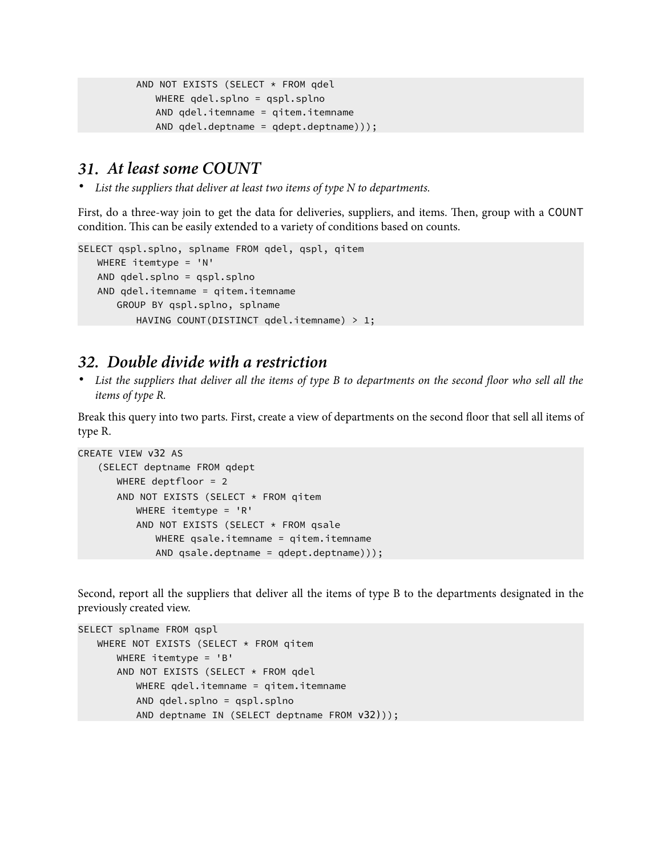```
 AND NOT EXISTS (SELECT * FROM qdel 
    WHERE qdel.splno = qspl.splno 
    AND qdel.itemname = qitem.itemname 
    AND qdel.deptname = qdept.deptname)));
```
## *31. At least some COUNT*

**•** *List the suppliers that deliver at least two items of type N to departments.* 

First, do a three-way join to get the data for deliveries, suppliers, and items. Then, group with a COUNT condition. This can be easily extended to a variety of conditions based on counts.

```
SELECT qspl.splno, splname FROM qdel, qspl, qitem
    WHERE itemtype = 'N' 
    AND qdel.splno = qspl.splno 
    AND qdel.itemname = qitem.itemname 
        GROUP BY qspl.splno, splname 
          HAVING COUNT(DISTINCT qdel.itemname) > 1;
```
## *32. Double divide with a restriction*

**•** *List the suppliers that deliver all the items of type B to departments on the second* f*oor who sell all the items of type R.* 

Break this query into two parts. First, create a view of departments on the second foor that sell all items of type R.

```
CREATE VIEW v32 AS 
    (SELECT deptname FROM qdept 
        WHERE deptfloor = 2 
        AND NOT EXISTS (SELECT * FROM qitem 
           WHERE itemtype = 'R' 
           AND NOT EXISTS (SELECT * FROM qsale 
              WHERE qsale.itemname = qitem.itemname
               AND qsale.deptname = qdept.deptname)));
```
Second, report all the suppliers that deliver all the items of type B to the departments designated in the previously created view.

```
SELECT splname FROM qspl 
   WHERE NOT EXISTS (SELECT * FROM qitem
       WHERE itemtype = 'B' 
       AND NOT EXISTS (SELECT * FROM qdel 
          WHERE qdel.itemname = qitem.itemname
           AND qdel.splno = qspl.splno 
           AND deptname IN (SELECT deptname FROM v32)));
```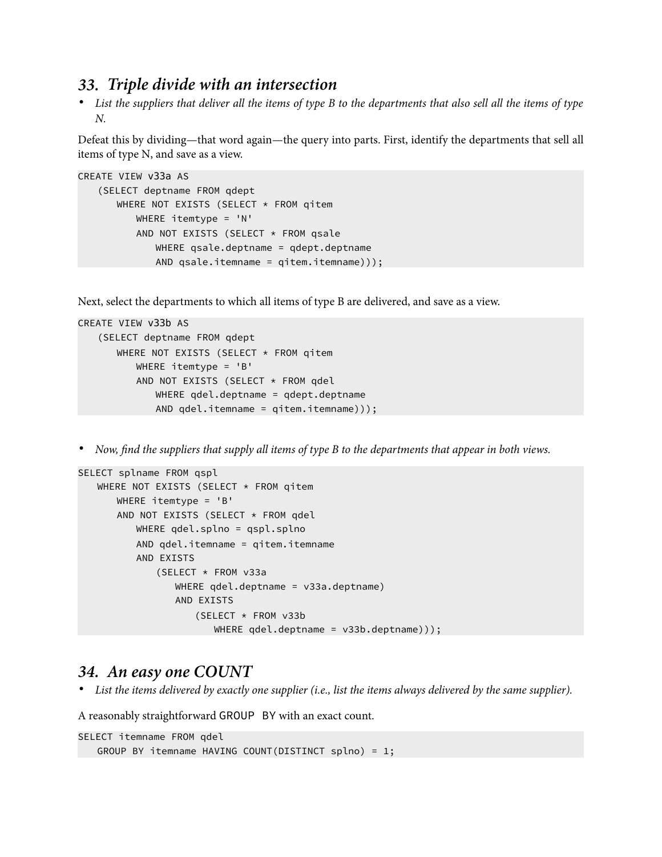## *33. Triple divide with an intersection*

**•** *List the suppliers that deliver all the items of type B to the departments that also sell all the items of type N.* 

Defeat this by dividing—that word again—the query into parts. First, identify the departments that sell all items of type N, and save as a view.

```
CREATE VIEW v33a AS 
    (SELECT deptname FROM qdept 
       WHERE NOT EXISTS (SELECT * FROM qitem
           WHERE itemtype = 'N' 
           AND NOT EXISTS (SELECT * FROM qsale 
               WHERE qsale.deptname = qdept.deptname 
               AND qsale.itemname = qitem.itemname)));
```
Next, select the departments to which all items of type B are delivered, and save as a view.

```
CREATE VIEW v33b AS 
    (SELECT deptname FROM qdept 
       WHERE NOT EXISTS (SELECT * FROM qitem
           WHERE itemtype = 'B' 
           AND NOT EXISTS (SELECT * FROM qdel 
               WHERE qdel.deptname = qdept.deptname 
               AND qdel.itemname = qitem.itemname)));
```
**•** *Now,* f*nd the suppliers that supply all items of type B to the departments that appear in both views.* 

```
SELECT splname FROM qspl 
   WHERE NOT EXISTS (SELECT * FROM qitem
       WHERE itemtype = 'B' 
        AND NOT EXISTS (SELECT * FROM qdel 
           WHERE qdel.splno = qspl.splno 
           AND qdel.itemname = qitem.itemname 
           AND EXISTS 
               (SELECT * FROM v33a 
                   WHERE qdel.deptname = v33a.deptname) 
                   AND EXISTS 
                      (SELECT * FROM v33b 
                          WHERE qdel.deptname = v33b.deptname)));
```
#### *34. An easy one COUNT*

**•** *List the items delivered by exactly one supplier (i.e., list the items always delivered by the same supplier).* 

A reasonably straightforward GROUP BY with an exact count.

```
SELECT itemname FROM qdel 
    GROUP BY itemname HAVING COUNT(DISTINCT splno) = 1;
```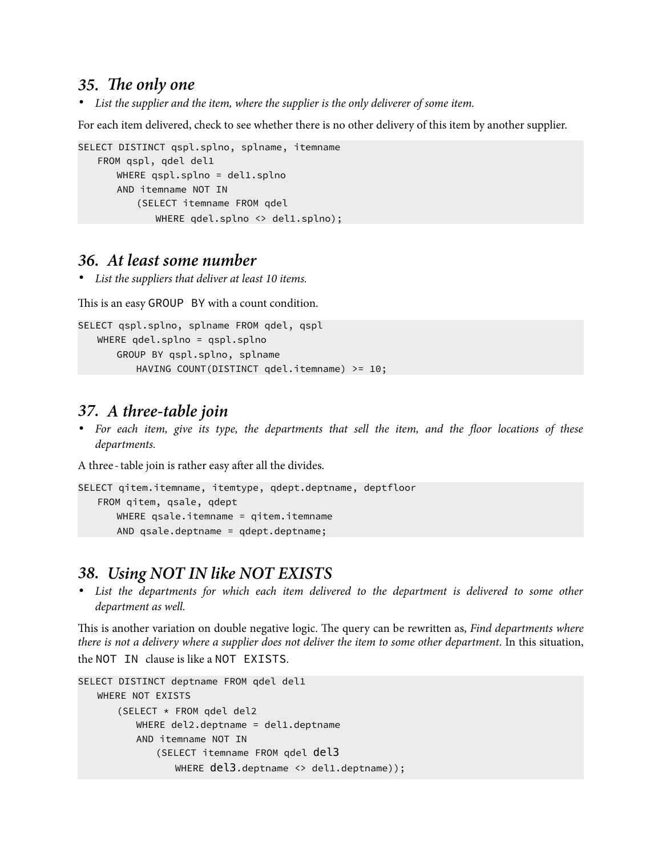#### *35.* **T***e only one*

**•** *List the supplier and the item, where the supplier is the only deliverer of some item.* 

For each item delivered, check to see whether there is no other delivery of this item by another supplier.

```
SELECT DISTINCT qspl.splno, splname, itemname 
    FROM qspl, qdel del1 
        WHERE qspl.splno = del1.splno 
        AND itemname NOT IN 
           (SELECT itemname FROM qdel 
               WHERE qdel.splno <> del1.splno);
```
#### *36. At least some number*

**•** *List the suppliers that deliver at least 10 items.* 

This is an easy GROUP BY with a count condition.

```
SELECT qspl.splno, splname FROM qdel, qspl 
    WHERE qdel.splno = qspl.splno 
        GROUP BY qspl.splno, splname 
           HAVING COUNT(DISTINCT qdel.itemname) >= 10;
```
#### *37. A three-table join*

• For each item, give its type, the departments that sell the item, and the floor locations of these *departments.* 

A three - table join is rather easy after all the divides.

```
SELECT qitem.itemname, itemtype, qdept.deptname, deptfloor 
    FROM qitem, qsale, qdept 
      WHERE qsale.itemname = qitem.itemname
       AND qsale.deptname = qdept.deptname;
```
## *38. Using NOT IN like NOT EXISTS*

**•** *List the departments for which each item delivered to the department is delivered to some other department as well.* 

This is another variation on double negative logic. The query can be rewritten as, *Find departments where there is not a delivery where a supplier does not deliver the item to some other department*. In this situation, the NOT IN clause is like a NOT EXISTS.

```
SELECT DISTINCT deptname FROM qdel del1 
    WHERE NOT EXISTS 
        (SELECT * FROM qdel del2 
           WHERE del2.deptname = del1.deptname 
           AND itemname NOT IN 
               (SELECT itemname FROM qdel del3 
                  WHERE del3.deptname <> del1.deptname));
```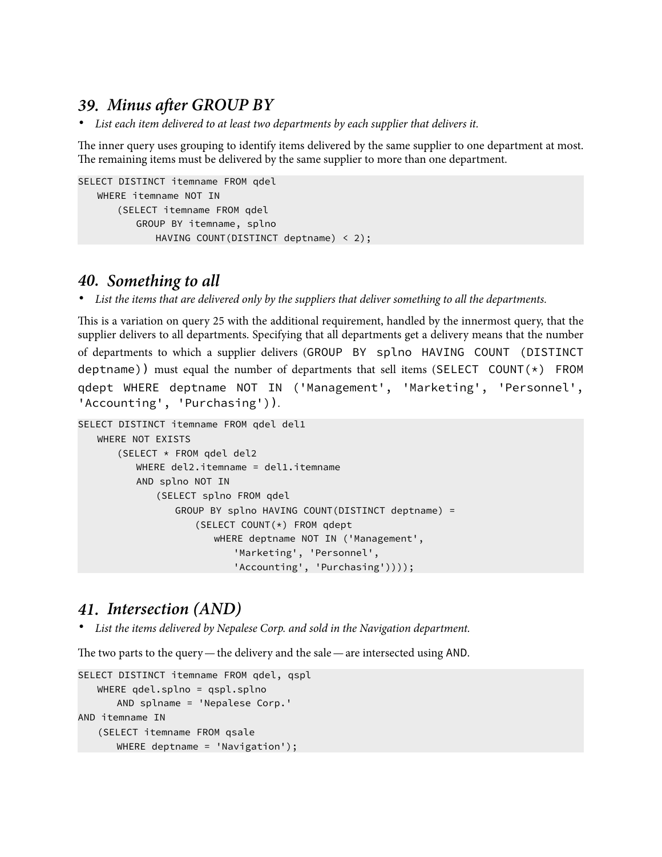## *39. Minus a***f***er GROUP BY*

**•** *List each item delivered to at least two departments by each supplier that delivers it.* 

The inner query uses grouping to identify items delivered by the same supplier to one department at most. The remaining items must be delivered by the same supplier to more than one department.

```
SELECT DISTINCT itemname FROM qdel 
    WHERE itemname NOT IN 
        (SELECT itemname FROM qdel 
           GROUP BY itemname, splno 
               HAVING COUNT(DISTINCT deptname) < 2);
```
## *40. Something to all*

**•** *List the items that are delivered only by the suppliers that deliver something to all the departments.* 

This is a variation on query 25 with the additional requirement, handled by the innermost query, that the supplier delivers to all departments. Specifying that all departments get a delivery means that the number of departments to which a supplier delivers (GROUP BY splno HAVING COUNT (DISTINCT deptname)) must equal the number of departments that sell items (SELECT COUNT $(*)$  FROM qdept WHERE deptname NOT IN ('Management', 'Marketing', 'Personnel', 'Accounting', 'Purchasing')).

```
SELECT DISTINCT itemname FROM qdel del1 
    WHERE NOT EXISTS 
        (SELECT * FROM qdel del2 
          WHERE del2.itemname = del1.itemname
           AND splno NOT IN 
               (SELECT splno FROM qdel 
                  GROUP BY splno HAVING COUNT(DISTINCT deptname) = 
                      (SELECT COUNT(*) FROM qdept 
                          wHERE deptname NOT IN ('Management', 
                              'Marketing', 'Personnel', 
                              'Accounting', 'Purchasing'))));
```
# *41. Intersection (AND)*

**•** *List the items delivered by Nepalese Corp. and sold in the Navigation department.* 

The two parts to the query — the delivery and the sale — are intersected using AND.

```
SELECT DISTINCT itemname FROM qdel, qspl 
    WHERE qdel.splno = qspl.splno 
        AND splname = 'Nepalese Corp.' 
AND itemname IN 
    (SELECT itemname FROM qsale 
        WHERE deptname = 'Navigation');
```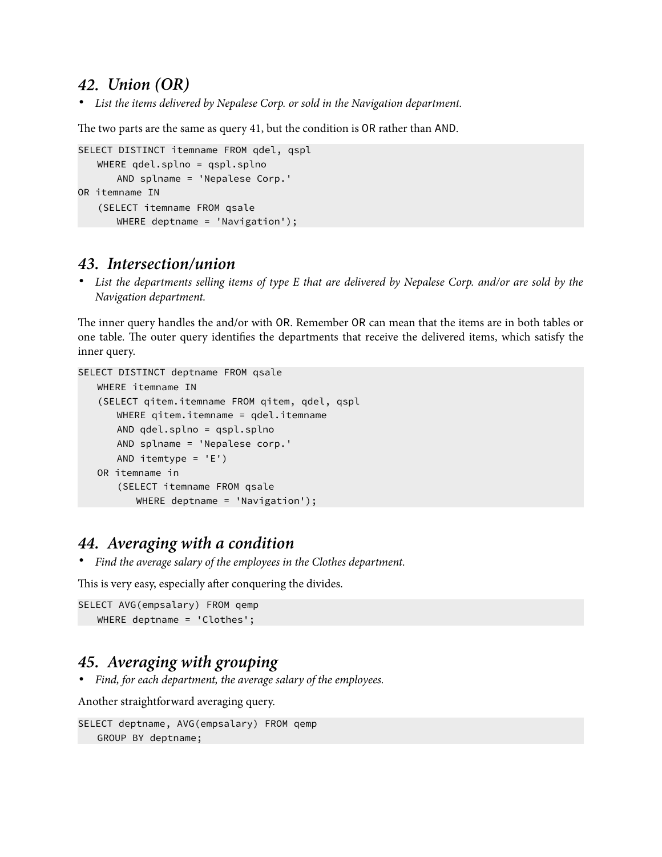## *42. Union (OR)*

**•** *List the items delivered by Nepalese Corp. or sold in the Navigation department.* 

The two parts are the same as query 41, but the condition is OR rather than AND.

```
SELECT DISTINCT itemname FROM qdel, qspl 
    WHERE qdel.splno = qspl.splno 
        AND splname = 'Nepalese Corp.' 
OR itemname IN 
    (SELECT itemname FROM qsale 
       WHERE deptname = 'Navigation');
```
## *43. Intersection/union*

**•** *List the departments selling items of type E that are delivered by Nepalese Corp. and/or are sold by the Navigation department.* 

The inner query handles the and/or with OR. Remember OR can mean that the items are in both tables or one table. The outer query identifies the departments that receive the delivered items, which satisfy the inner query.

```
SELECT DISTINCT deptname FROM qsale 
    WHERE itemname IN 
    (SELECT qitem.itemname FROM qitem, qdel, qspl 
      WHERE qitem.itemname = qdel.itemname
        AND qdel.splno = qspl.splno 
        AND splname = 'Nepalese corp.' 
      AND itemtype = 'E') OR itemname in 
        (SELECT itemname FROM qsale 
          WHERE deptname = 'Navigation');
```
## *44. Averaging with a condition*

**•** *Find the average salary of the employees in the Clothes department.* 

This is very easy, especially after conquering the divides.

```
SELECT AVG(empsalary) FROM qemp 
    WHERE deptname = 'Clothes';
```
# *45. Averaging with grouping*

**•** *Find, for each department, the average salary of the employees.* 

Another straightforward averaging query.

```
SELECT deptname, AVG(empsalary) FROM qemp 
    GROUP BY deptname;
```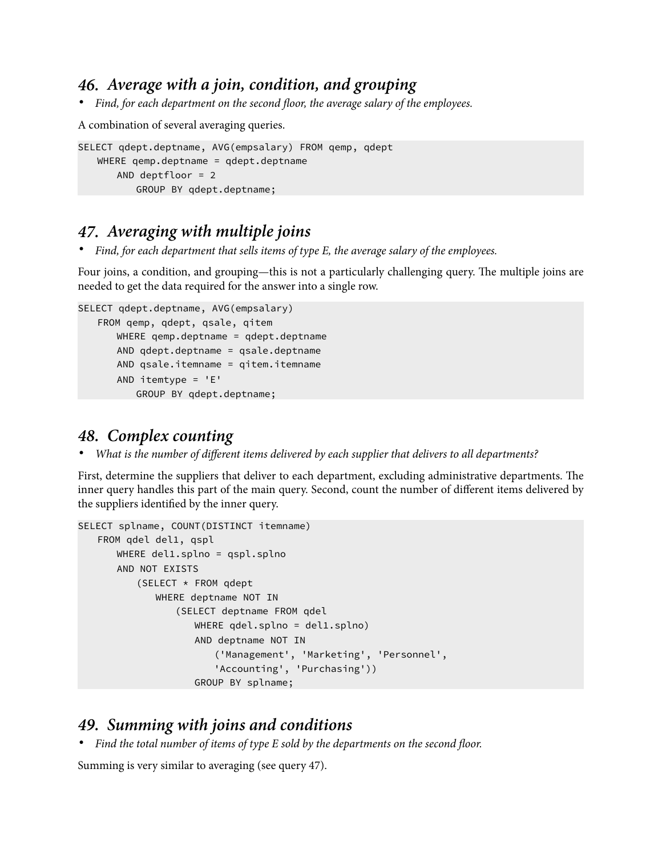## *46. Average with a join, condition, and grouping*

**•** *Find, for each department on the second* f*oor, the average salary of the employees.* 

A combination of several averaging queries.

```
SELECT qdept.deptname, AVG(empsalary) FROM qemp, qdept 
    WHERE qemp.deptname = qdept.deptname 
        AND deptfloor = 2 
           GROUP BY qdept.deptname;
```
# *47. Averaging with multiple joins*

**•** *Find, for each department that sells items of type E, the average salary of the employees.* 

Four joins, a condition, and grouping—this is not a particularly challenging query. The multiple joins are needed to get the data required for the answer into a single row.

```
SELECT qdept.deptname, AVG(empsalary) 
   FROM qemp, qdept, qsale, qitem
        WHERE qemp.deptname = qdept.deptname 
        AND qdept.deptname = qsale.deptname 
        AND qsale.itemname = qitem.itemname 
        AND itemtype = 'E' 
           GROUP BY qdept.deptname;
```
# *48. Complex counting*

**•** *What is the number of di*ff*erent items delivered by each supplier that delivers to all departments?* 

First, determine the suppliers that deliver to each department, excluding administrative departments. The inner query handles this part of the main query. Second, count the number of different items delivered by the suppliers identifed by the inner query.

```
SELECT splname, COUNT(DISTINCT itemname) 
    FROM qdel del1, qspl 
        WHERE del1.splno = qspl.splno 
        AND NOT EXISTS 
            (SELECT * FROM qdept 
               WHERE deptname NOT IN 
                   (SELECT deptname FROM qdel 
                      WHERE qdel.splno = del1.splno) 
                      AND deptname NOT IN 
                          ('Management', 'Marketing', 'Personnel', 
                          'Accounting', 'Purchasing')) 
                      GROUP BY splname;
```
# *49. Summing with joins and conditions*

• Find the total number of items of type E sold by the departments on the second floor.

Summing is very similar to averaging (see query 47).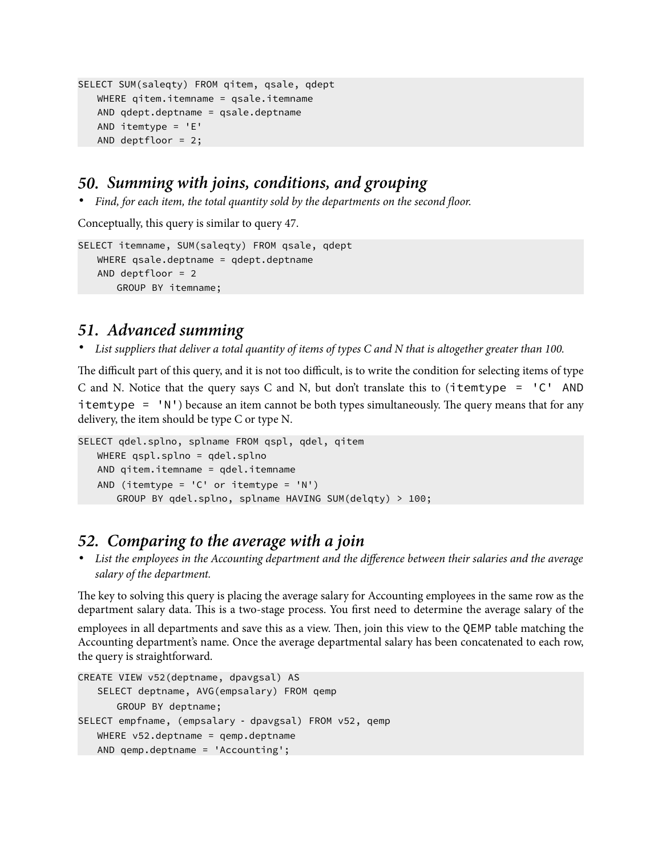```
SELECT SUM(saleqty) FROM qitem, qsale, qdept 
   WHERE qitem.itemname = qsale.itemname
    AND qdept.deptname = qsale.deptname 
    AND itemtype = 'E' 
    AND deptfloor = 2;
```
# *50. Summing with joins, conditions, and grouping*

**•** *Find, for each item, the total quantity sold by the departments on the second* f*oor.* 

Conceptually, this query is similar to query 47.

```
SELECT itemname, SUM(saleqty) FROM qsale, qdept 
    WHERE qsale.deptname = qdept.deptname 
    AND deptfloor = 2 
        GROUP BY itemname;
```
# *51. Advanced summing*

**•** *List suppliers that deliver a total quantity of items of types C and N that is altogether greater than 100.* 

The difficult part of this query, and it is not too difficult, is to write the condition for selecting items of type C and N. Notice that the query says C and N, but don't translate this to  $\phi$  item type =  $\phi$  'C AND  $\texttt{itemtype} = 'N')$  because an item cannot be both types simultaneously. The query means that for any delivery, the item should be type C or type N.

```
SELECT qdel.splno, splname FROM qspl, qdel, qitem 
    WHERE qspl.splno = qdel.splno 
    AND qitem.itemname = qdel.itemname 
   AND (itemtype = 'C' or itemtype = 'N')
        GROUP BY qdel.splno, splname HAVING SUM(delqty) > 100;
```
# *52. Comparing to the average with a join*

**•** *List the employees in the Accounting department and the di*ff*erence between their salaries and the average salary of the department.* 

The key to solving this query is placing the average salary for Accounting employees in the same row as the department salary data. This is a two-stage process. You first need to determine the average salary of the

employees in all departments and save this as a view. Then, join this view to the QEMP table matching the Accounting department's name. Once the average departmental salary has been concatenated to each row, the query is straightforward.

```
CREATE VIEW v52(deptname, dpavgsal) AS 
    SELECT deptname, AVG(empsalary) FROM qemp 
        GROUP BY deptname; 
SELECT empfname, (empsalary - dpavgsal) FROM v52, qemp 
    WHERE v52.deptname = qemp.deptname 
    AND qemp.deptname = 'Accounting';
```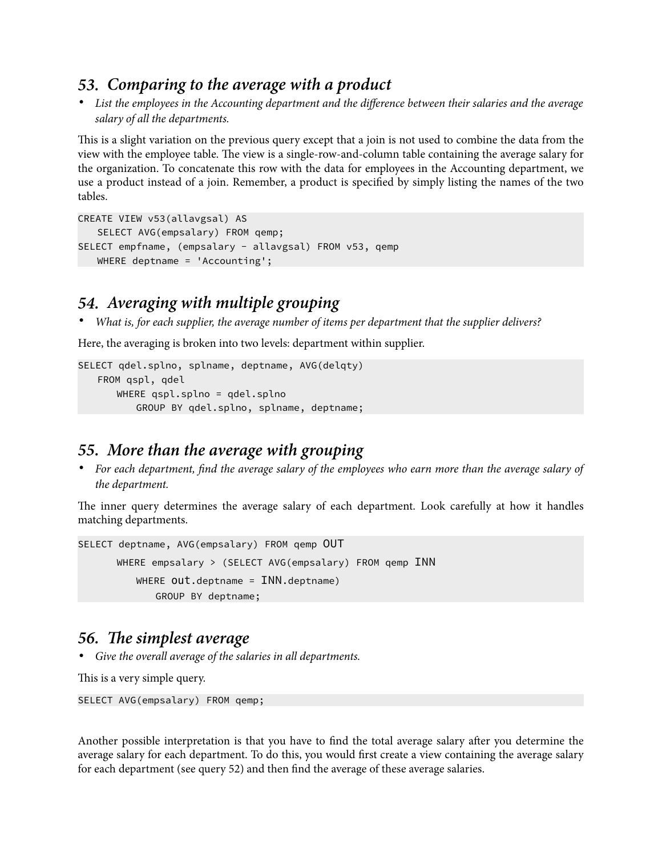## *53. Comparing to the average with a product*

**•** *List the employees in the Accounting department and the di*ff*erence between their salaries and the average salary of all the departments.* 

This is a slight variation on the previous query except that a join is not used to combine the data from the view with the employee table. The view is a single-row-and-column table containing the average salary for the organization. To concatenate this row with the data for employees in the Accounting department, we use a product instead of a join. Remember, a product is specifed by simply listing the names of the two tables.

```
CREATE VIEW v53(allavgsal) AS 
    SELECT AVG(empsalary) FROM qemp; 
SELECT empfname, (empsalary - allavgsal) FROM v53, qemp 
   WHERE deptname = 'Accounting';
```
# *54. Averaging with multiple grouping*

**•** *What is, for each supplier, the average number of items per department that the supplier delivers?* 

Here, the averaging is broken into two levels: department within supplier.

```
SELECT qdel.splno, splname, deptname, AVG(delqty) 
    FROM qspl, qdel 
       WHERE qspl.splno = qdel.splno 
           GROUP BY qdel.splno, splname, deptname;
```
# *55. More than the average with grouping*

**•** *For each department,* f*nd the average salary of the employees who earn more than the average salary of the department.* 

The inner query determines the average salary of each department. Look carefully at how it handles matching departments.

```
SELECT deptname, AVG(empsalary) FROM qemp OUT
       WHERE empsalary > (SELECT AVG(empsalary) FROM qemp INN
           WHERE out.deptname = INN.deptname) 
              GROUP BY deptname;
```
# *56.* **T***e simplest average*

**•** *Give the overall average of the salaries in all departments.* 

This is a very simple query.

```
SELECT AVG(empsalary) FROM qemp;
```
Another possible interpretation is that you have to fnd the total average salary afer you determine the average salary for each department. To do this, you would frst create a view containing the average salary for each department (see query 52) and then fnd the average of these average salaries.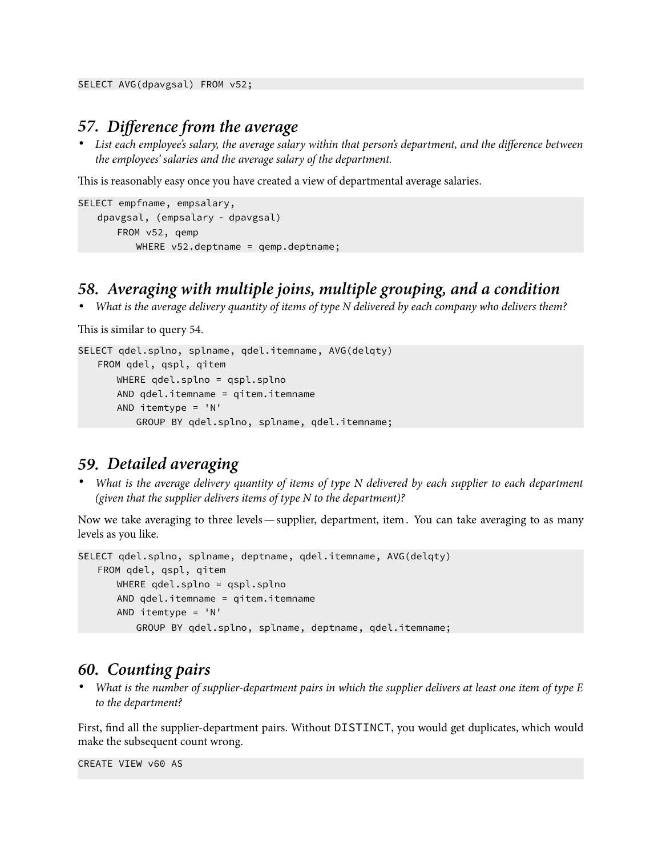## *57. Di***ff***erence from the average*

**•** *List each employee's salary, the average salary within that person's department, and the di*ff*erence between the employees' salaries and the average salary of the department.* 

This is reasonably easy once you have created a view of departmental average salaries.

```
SELECT empfname, empsalary, 
    dpavgsal, (empsalary - dpavgsal) 
        FROM v52, qemp 
          WHERE v52.deptname = qemp.deptname;
```
# *58. Averaging with multiple joins, multiple grouping, and a condition*

**•** *What is the average delivery quantity of items of type N delivered by each company who delivers them?* 

This is similar to query 54.

```
SELECT qdel.splno, splname, qdel.itemname, AVG(delqty) 
    FROM qdel, qspl, qitem 
        WHERE qdel.splno = qspl.splno 
        AND qdel.itemname = qitem.itemname 
        AND itemtype = 'N' 
           GROUP BY qdel.splno, splname, qdel.itemname;
```
## *59. Detailed averaging*

**•** *What is the average delivery quantity of items of type N delivered by each supplier to each department (given that the supplier delivers items of type N to the department)?* 

Now we take averaging to three levels — supplier, department, item . You can take averaging to as many levels as you like.

```
SELECT qdel.splno, splname, deptname, qdel.itemname, AVG(delqty) 
    FROM qdel, qspl, qitem 
       WHERE qdel.splno = qspl.splno 
       AND qdel.itemname = qitem.itemname 
       AND itemtype = 'N' 
           GROUP BY qdel.splno, splname, deptname, qdel.itemname;
```
## *60. Counting pairs*

**•** *What is the number of supplier-department pairs in which the supplier delivers at least one item of type E to the department?* 

First, fnd all the supplier-department pairs. Without DISTINCT, you would get duplicates, which would make the subsequent count wrong.

CREATE VIEW v60 AS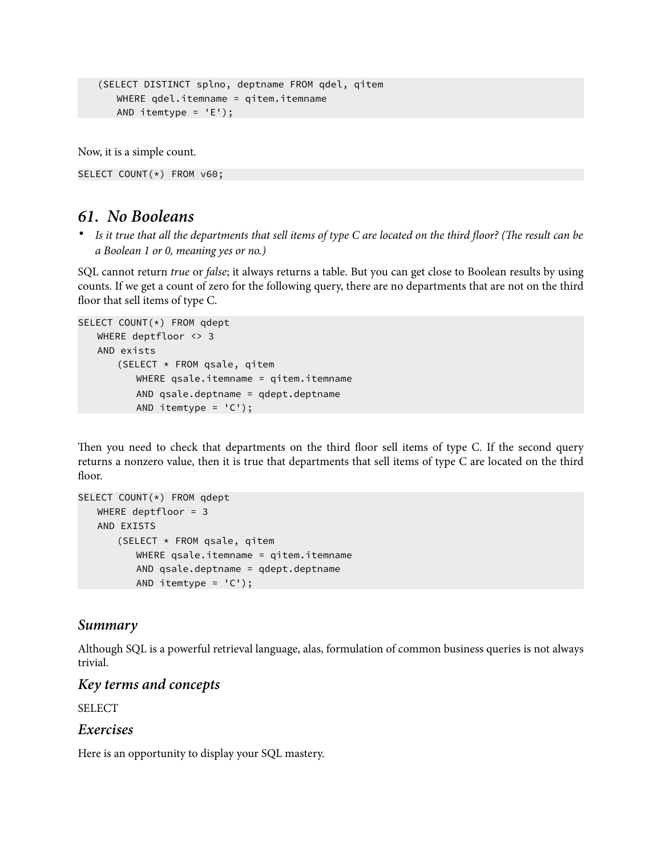```
 (SELECT DISTINCT splno, deptname FROM qdel, qitem 
   WHERE qdel.itemname = qitem.itemname
   AND itemtype = 'E');
```
Now, it is a simple count.

SELECT COUNT(\*) FROM v60;

## *61. No Booleans*

**•** *Is it true that all the departments that sell items of type C are located on the third* f*oor? (*T*e result can be a Boolean 1 or 0, meaning yes or no.)* 

SQL cannot return *true* or *false*; it always returns a table. But you can get close to Boolean results by using counts. If we get a count of zero for the following query, there are no departments that are not on the third floor that sell items of type C.

```
SELECT COUNT(*) FROM qdept 
    WHERE deptfloor <> 3 
    AND exists 
        (SELECT * FROM qsale, qitem 
           WHERE qsale.itemname = qitem.itemname 
           AND qsale.deptname = qdept.deptname 
          AND itemtype = 'C');
```
Then you need to check that departments on the third floor sell items of type C. If the second query returns a nonzero value, then it is true that departments that sell items of type C are located on the third floor.

```
SELECT COUNT(*) FROM qdept 
    WHERE deptfloor = 3 
    AND EXISTS 
        (SELECT * FROM qsale, qitem 
          WHERE qsale.itemname = qitem.itemname
           AND qsale.deptname = qdept.deptname 
           AND itemtype = 'C');
```
#### *Summary*

Although SQL is a powerful retrieval language, alas, formulation of common business queries is not always trivial.

#### *Key terms and concepts*

**SELECT** 

#### *Exercises*

Here is an opportunity to display your SQL mastery.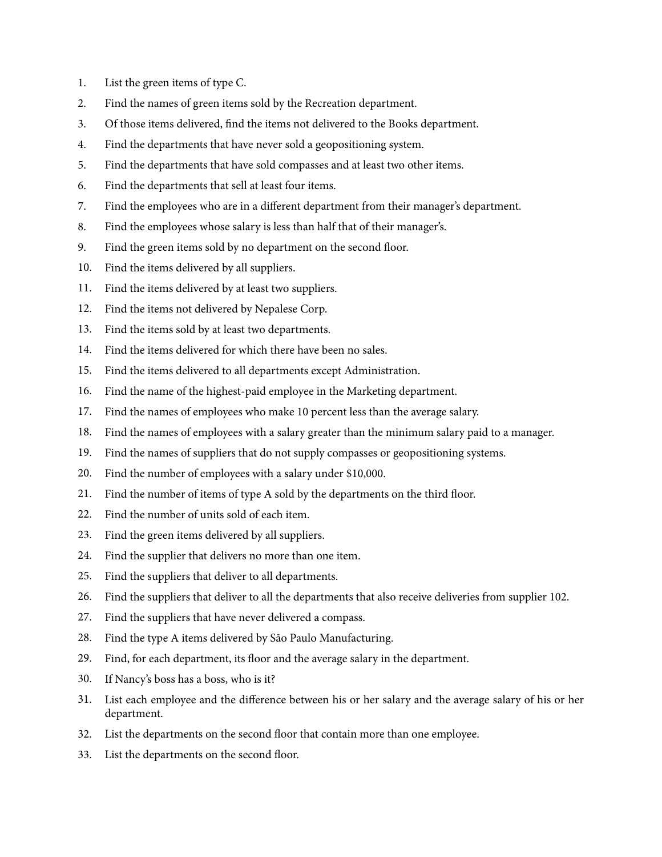- 1. List the green items of type C.
- 2. Find the names of green items sold by the Recreation department.
- 3. Of those items delivered, fnd the items not delivered to the Books department.
- 4. Find the departments that have never sold a geopositioning system.
- 5. Find the departments that have sold compasses and at least two other items.
- 6. Find the departments that sell at least four items.
- 7. Find the employees who are in a different department from their manager's department.
- 8. Find the employees whose salary is less than half that of their manager's.
- 9. Find the green items sold by no department on the second foor.
- 10. Find the items delivered by all suppliers.
- 11. Find the items delivered by at least two suppliers.
- 12. Find the items not delivered by Nepalese Corp.
- 13. Find the items sold by at least two departments.
- 14. Find the items delivered for which there have been no sales.
- 15. Find the items delivered to all departments except Administration.
- 16. Find the name of the highest-paid employee in the Marketing department.
- 17. Find the names of employees who make 10 percent less than the average salary.
- 18. Find the names of employees with a salary greater than the minimum salary paid to a manager.
- 19. Find the names of suppliers that do not supply compasses or geopositioning systems.
- 20. Find the number of employees with a salary under \$10,000.
- 21. Find the number of items of type A sold by the departments on the third foor.
- 22. Find the number of units sold of each item.
- 23. Find the green items delivered by all suppliers.
- 24. Find the supplier that delivers no more than one item.
- 25. Find the suppliers that deliver to all departments.
- 26. Find the suppliers that deliver to all the departments that also receive deliveries from supplier 102.
- 27. Find the suppliers that have never delivered a compass.
- 28. Find the type A items delivered by São Paulo Manufacturing.
- 29. Find, for each department, its foor and the average salary in the department.
- 30. If Nancy's boss has a boss, who is it?
- 31. List each employee and the difference between his or her salary and the average salary of his or her department.
- 32. List the departments on the second foor that contain more than one employee.
- 33. List the departments on the second floor.